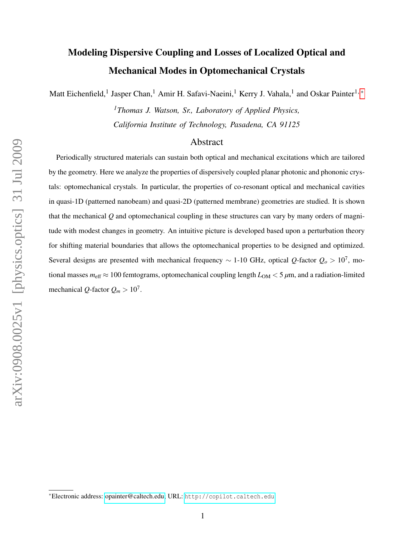# Modeling Dispersive Coupling and Losses of Localized Optical and Mechanical Modes in Optomechanical Crystals

Matt Eichenfield,<sup>1</sup> Jasper Chan,<sup>1</sup> Amir H. Safavi-Naeini,<sup>1</sup> Kerry J. Vahala,<sup>1</sup> and Oskar Painter<sup>1,\*</sup>

*<sup>1</sup>Thomas J. Watson, Sr., Laboratory of Applied Physics, California Institute of Technology, Pasadena, CA 91125*

# Abstract

Periodically structured materials can sustain both optical and mechanical excitations which are tailored by the geometry. Here we analyze the properties of dispersively coupled planar photonic and phononic crystals: optomechanical crystals. In particular, the properties of co-resonant optical and mechanical cavities in quasi-1D (patterned nanobeam) and quasi-2D (patterned membrane) geometries are studied. It is shown that the mechanical *Q* and optomechanical coupling in these structures can vary by many orders of magnitude with modest changes in geometry. An intuitive picture is developed based upon a perturbation theory for shifting material boundaries that allows the optomechanical properties to be designed and optimized. Several designs are presented with mechanical frequency ∼ 1-10 GHz, optical *Q*-factor *Q<sup>o</sup>* > 10<sup>7</sup> , motional masses  $m_{\text{eff}} \approx 100$  femtograms, optomechanical coupling length  $L_{OM} < 5 \mu m$ , and a radiation-limited mechanical *Q*-factor  $Q_m > 10^7$ .

<span id="page-0-0"></span><sup>∗</sup>Electronic address: [opainter@caltech.edu;](mailto:opainter@caltech.edu) URL: <http://copilot.caltech.edu>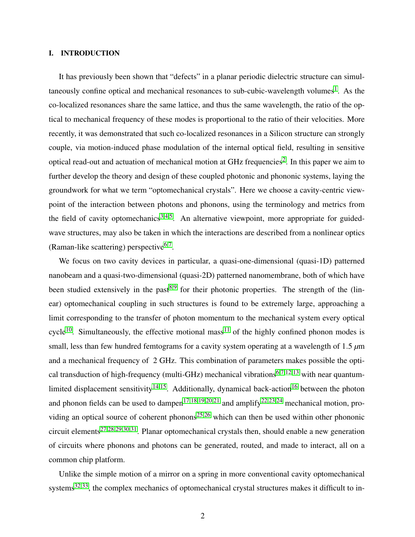# I. INTRODUCTION

It has previously been shown that "defects" in a planar periodic dielectric structure can simul-taneously confine optical and mechanical resonances to sub-cubic-wavelength volumes<sup>[1](#page-21-0)</sup>. As the co-localized resonances share the same lattice, and thus the same wavelength, the ratio of the optical to mechanical frequency of these modes is proportional to the ratio of their velocities. More recently, it was demonstrated that such co-localized resonances in a Silicon structure can strongly couple, via motion-induced phase modulation of the internal optical field, resulting in sensitive optical read-out and actuation of mechanical motion at GHz frequencies<sup>[2](#page-21-1)</sup>. In this paper we aim to further develop the theory and design of these coupled photonic and phononic systems, laying the groundwork for what we term "optomechanical crystals". Here we choose a cavity-centric viewpoint of the interaction between photons and phonons, using the terminology and metrics from the field of cavity optomechanics<sup>[3](#page-21-2)[,4,](#page-21-3)[5](#page-21-4)</sup>. An alternative viewpoint, more appropriate for guidedwave structures, may also be taken in which the interactions are described from a nonlinear optics (Raman-like scattering) perspective<sup>[6,](#page-21-5)[7](#page-21-6)</sup>.

We focus on two cavity devices in particular, a quasi-one-dimensional (quasi-1D) patterned nanobeam and a quasi-two-dimensional (quasi-2D) patterned nanomembrane, both of which have been studied extensively in the past<sup>[8](#page-21-7)[,9](#page-21-8)</sup> for their photonic properties. The strength of the (linear) optomechanical coupling in such structures is found to be extremely large, approaching a limit corresponding to the transfer of photon momentum to the mechanical system every optical cycle<sup>[10](#page-21-9)</sup>. Simultaneously, the effective motional mass<sup>[11](#page-21-10)</sup> of the highly confined phonon modes is small, less than few hundred femtograms for a cavity system operating at a wavelength of 1.5 *µ*m and a mechanical frequency of 2 GHz. This combination of parameters makes possible the opti-cal transduction of high-frequency (multi-GHz) mechanical vibrations<sup>[6](#page-21-5)[,7,](#page-21-6)[12](#page-21-11)[,13](#page-21-12)</sup> with near quantum-limited displacement sensitivity<sup>[14](#page-21-13)[,15](#page-21-14)</sup>. Additionally, dynamical back-action<sup>[16](#page-21-15)</sup> between the photon and phonon fields can be used to dampen<sup>[17,](#page-21-16)[18,](#page-21-17)[19,](#page-22-0)[20](#page-22-1)[,21](#page-22-2)</sup> and amplify<sup>[22](#page-22-3)[,23,](#page-22-4)[24](#page-22-5)</sup> mechanical motion, pro-viding an optical source of coherent phonons<sup>[25](#page-22-6)[,26](#page-22-7)</sup> which can then be used within other phononic circuit elements<sup>[27](#page-22-8)[,28](#page-22-9)[,29](#page-22-10)[,30,](#page-22-11)[31](#page-22-12)</sup>. Planar optomechanical crystals then, should enable a new generation of circuits where phonons and photons can be generated, routed, and made to interact, all on a common chip platform.

Unlike the simple motion of a mirror on a spring in more conventional cavity optomechanical systems<sup>[32,](#page-22-13)[33](#page-22-14)</sup>, the complex mechanics of optomechanical crystal structures makes it difficult to in-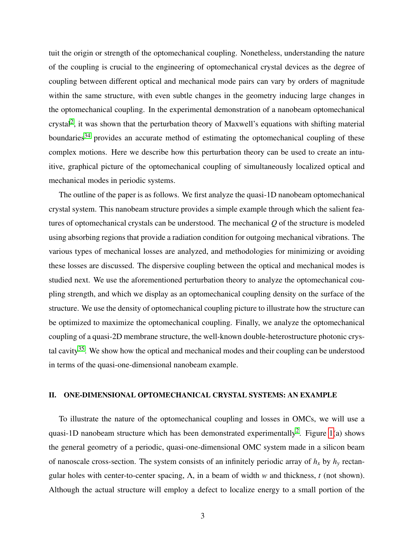tuit the origin or strength of the optomechanical coupling. Nonetheless, understanding the nature of the coupling is crucial to the engineering of optomechanical crystal devices as the degree of coupling between different optical and mechanical mode pairs can vary by orders of magnitude within the same structure, with even subtle changes in the geometry inducing large changes in the optomechanical coupling. In the experimental demonstration of a nanobeam optomechanical crystal<sup>[2](#page-21-1)</sup>, it was shown that the perturbation theory of Maxwell's equations with shifting material boundaries<sup>[34](#page-22-15)</sup> provides an accurate method of estimating the optomechanical coupling of these complex motions. Here we describe how this perturbation theory can be used to create an intuitive, graphical picture of the optomechanical coupling of simultaneously localized optical and mechanical modes in periodic systems.

The outline of the paper is as follows. We first analyze the quasi-1D nanobeam optomechanical crystal system. This nanobeam structure provides a simple example through which the salient features of optomechanical crystals can be understood. The mechanical *Q* of the structure is modeled using absorbing regions that provide a radiation condition for outgoing mechanical vibrations. The various types of mechanical losses are analyzed, and methodologies for minimizing or avoiding these losses are discussed. The dispersive coupling between the optical and mechanical modes is studied next. We use the aforementioned perturbation theory to analyze the optomechanical coupling strength, and which we display as an optomechanical coupling density on the surface of the structure. We use the density of optomechanical coupling picture to illustrate how the structure can be optimized to maximize the optomechanical coupling. Finally, we analyze the optomechanical coupling of a quasi-2D membrane structure, the well-known double-heterostructure photonic crys-tal cavity<sup>[35](#page-22-16)</sup>. We show how the optical and mechanical modes and their coupling can be understood in terms of the quasi-one-dimensional nanobeam example.

# II. ONE-DIMENSIONAL OPTOMECHANICAL CRYSTAL SYSTEMS: AN EXAMPLE

To illustrate the nature of the optomechanical coupling and losses in OMCs, we will use a quasi-1D nanobeam structure which has been demonstrated experimentally<sup>[2](#page-21-1)</sup>. Figure [1\(](#page-3-0)a) shows the general geometry of a periodic, quasi-one-dimensional OMC system made in a silicon beam of nanoscale cross-section. The system consists of an infinitely periodic array of  $h_x$  by  $h_y$  rectangular holes with center-to-center spacing, Λ, in a beam of width *w* and thickness, *t* (not shown). Although the actual structure will employ a defect to localize energy to a small portion of the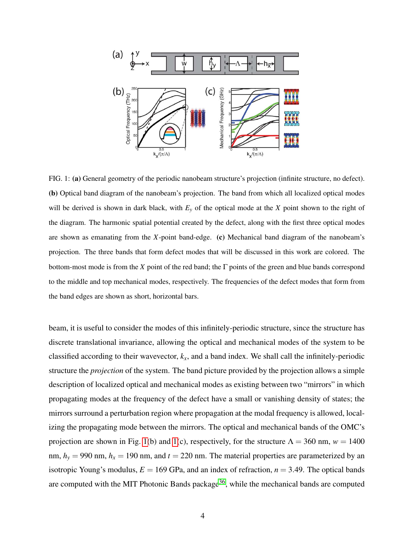

<span id="page-3-0"></span>FIG. 1: (a) General geometry of the periodic nanobeam structure's projection (infinite structure, no defect). (b) Optical band diagram of the nanobeam's projection. The band from which all localized optical modes will be derived is shown in dark black, with *E<sup>y</sup>* of the optical mode at the *X* point shown to the right of the diagram. The harmonic spatial potential created by the defect, along with the first three optical modes are shown as emanating from the *X*-point band-edge. (c) Mechanical band diagram of the nanobeam's projection. The three bands that form defect modes that will be discussed in this work are colored. The bottom-most mode is from the *X* point of the red band; the Γ points of the green and blue bands correspond to the middle and top mechanical modes, respectively. The frequencies of the defect modes that form from the band edges are shown as short, horizontal bars.

beam, it is useful to consider the modes of this infinitely-periodic structure, since the structure has discrete translational invariance, allowing the optical and mechanical modes of the system to be classified according to their wavevector, *kx*, and a band index. We shall call the infinitely-periodic structure the *projection* of the system. The band picture provided by the projection allows a simple description of localized optical and mechanical modes as existing between two "mirrors" in which propagating modes at the frequency of the defect have a small or vanishing density of states; the mirrors surround a perturbation region where propagation at the modal frequency is allowed, localizing the propagating mode between the mirrors. The optical and mechanical bands of the OMC's projection are shown in Fig. [1\(](#page-3-0)b) and 1(c), respectively, for the structure  $\Lambda = 360$  nm,  $w = 1400$ nm,  $h_y = 990$  nm,  $h_x = 190$  nm, and  $t = 220$  nm. The material properties are parameterized by an isotropic Young's modulus,  $E = 169$  GPa, and an index of refraction,  $n = 3.49$ . The optical bands are computed with the MIT Photonic Bands package<sup>[36](#page-22-17)</sup>, while the mechanical bands are computed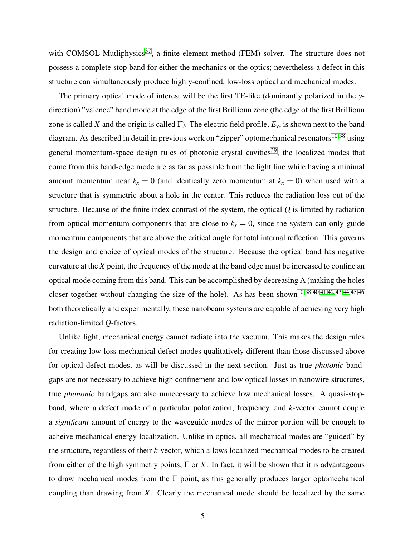with COMSOL Mutliphysics<sup>[37](#page-22-18)</sup>, a finite element method (FEM) solver. The structure does not possess a complete stop band for either the mechanics or the optics; nevertheless a defect in this structure can simultaneously produce highly-confined, low-loss optical and mechanical modes.

The primary optical mode of interest will be the first TE-like (dominantly polarized in the *y*direction) "valence" band mode at the edge of the first Brillioun zone (the edge of the first Brillioun zone is called *X* and the origin is called Γ). The electric field profile,  $E_y$ , is shown next to the band diagram. As described in detail in previous work on "zipper" optomechanical resonators<sup>[10](#page-21-9)[,38](#page-23-0)</sup> using general momentum-space design rules of photonic crystal cavities<sup>[39](#page-23-1)</sup>, the localized modes that come from this band-edge mode are as far as possible from the light line while having a minimal amount momentum near  $k_x = 0$  (and identically zero momentum at  $k_x = 0$ ) when used with a structure that is symmetric about a hole in the center. This reduces the radiation loss out of the structure. Because of the finite index contrast of the system, the optical *Q* is limited by radiation from optical momentum components that are close to  $k<sub>x</sub> = 0$ , since the system can only guide momentum components that are above the critical angle for total internal reflection. This governs the design and choice of optical modes of the structure. Because the optical band has negative curvature at the *X* point, the frequency of the mode at the band edge must be increased to confine an optical mode coming from this band. This can be accomplished by decreasing  $\Lambda$  (making the holes closer together without changing the size of the hole). As has been shown<sup>[10](#page-21-9)[,38,](#page-23-0)[40,](#page-23-2)[41,](#page-23-3)[42](#page-23-4)[,43](#page-23-5)[,44,](#page-23-6)[45,](#page-23-7)[46](#page-23-8)</sup> both theoretically and experimentally, these nanobeam systems are capable of achieving very high radiation-limited *Q*-factors.

Unlike light, mechanical energy cannot radiate into the vacuum. This makes the design rules for creating low-loss mechanical defect modes qualitatively different than those discussed above for optical defect modes, as will be discussed in the next section. Just as true *photonic* bandgaps are not necessary to achieve high confinement and low optical losses in nanowire structures, true *phononic* bandgaps are also unnecessary to achieve low mechanical losses. A quasi-stopband, where a defect mode of a particular polarization, frequency, and *k*-vector cannot couple a *significant* amount of energy to the waveguide modes of the mirror portion will be enough to acheive mechanical energy localization. Unlike in optics, all mechanical modes are "guided" by the structure, regardless of their *k*-vector, which allows localized mechanical modes to be created from either of the high symmetry points,  $\Gamma$  or  $X$ . In fact, it will be shown that it is advantageous to draw mechanical modes from the  $\Gamma$  point, as this generally produces larger optomechanical coupling than drawing from *X*. Clearly the mechanical mode should be localized by the same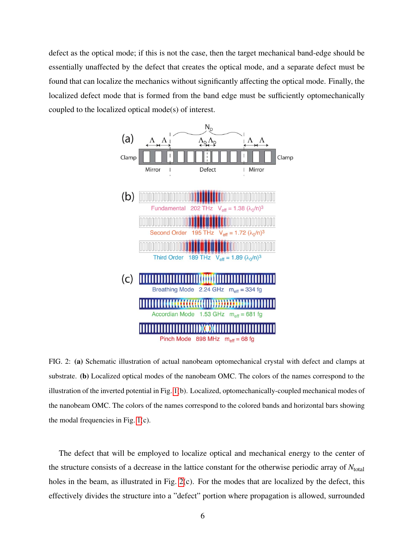defect as the optical mode; if this is not the case, then the target mechanical band-edge should be essentially unaffected by the defect that creates the optical mode, and a separate defect must be found that can localize the mechanics without significantly affecting the optical mode. Finally, the localized defect mode that is formed from the band edge must be sufficiently optomechanically coupled to the localized optical mode(s) of interest.



<span id="page-5-0"></span>FIG. 2: (a) Schematic illustration of actual nanobeam optomechanical crystal with defect and clamps at substrate. (b) Localized optical modes of the nanobeam OMC. The colors of the names correspond to the illustration of the inverted potential in Fig. [1\(](#page-3-0)b). Localized, optomechanically-coupled mechanical modes of the nanobeam OMC. The colors of the names correspond to the colored bands and horizontal bars showing the modal frequencies in Fig. [1\(](#page-3-0)c).

The defect that will be employed to localize optical and mechanical energy to the center of the structure consists of a decrease in the lattice constant for the otherwise periodic array of  $N_{\text{total}}$ holes in the beam, as illustrated in Fig. [2\(](#page-5-0)c). For the modes that are localized by the defect, this effectively divides the structure into a "defect" portion where propagation is allowed, surrounded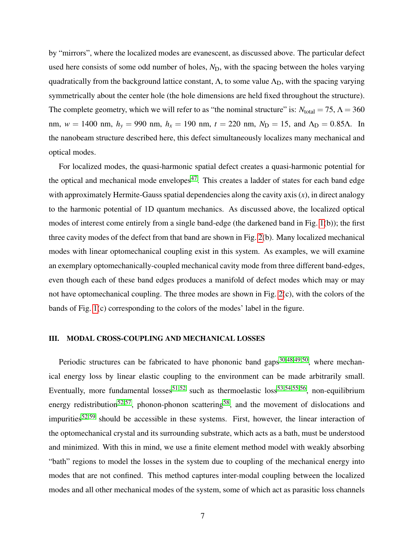by "mirrors", where the localized modes are evanescent, as discussed above. The particular defect used here consists of some odd number of holes, *N*<sub>D</sub>, with the spacing between the holes varying quadratically from the background lattice constant,  $\Lambda$ , to some value  $\Lambda_D$ , with the spacing varying symmetrically about the center hole (the hole dimensions are held fixed throughout the structure). The complete geometry, which we will refer to as "the nominal structure" is:  $N_{total} = 75$ ,  $\Lambda = 360$ nm,  $w = 1400$  nm,  $h_y = 990$  nm,  $h_x = 190$  nm,  $t = 220$  nm,  $N_D = 15$ , and  $\Lambda_D = 0.85$ Λ. In the nanobeam structure described here, this defect simultaneously localizes many mechanical and optical modes.

For localized modes, the quasi-harmonic spatial defect creates a quasi-harmonic potential for the optical and mechanical mode envelopes<sup>[47](#page-23-9)</sup>. This creates a ladder of states for each band edge with approximately Hermite-Gauss spatial dependencies along the cavity axis (*x*), in direct analogy to the harmonic potential of 1D quantum mechanics. As discussed above, the localized optical modes of interest come entirely from a single band-edge (the darkened band in Fig. [1\(](#page-3-0)b)); the first three cavity modes of the defect from that band are shown in Fig. [2\(](#page-5-0)b). Many localized mechanical modes with linear optomechanical coupling exist in this system. As examples, we will examine an exemplary optomechanically-coupled mechanical cavity mode from three different band-edges, even though each of these band edges produces a manifold of defect modes which may or may not have optomechanical coupling. The three modes are shown in Fig. [2\(](#page-5-0)c), with the colors of the bands of Fig. [1\(](#page-3-0)c) corresponding to the colors of the modes' label in the figure.

#### III. MODAL CROSS-COUPLING AND MECHANICAL LOSSES

Periodic structures can be fabricated to have phononic band gaps<sup>[30](#page-22-11)[,48](#page-23-10)[,49](#page-23-11)[,50](#page-23-12)</sup>, where mechanical energy loss by linear elastic coupling to the environment can be made arbitrarily small. Eventually, more fundamental losses<sup>[51](#page-23-13)[,52](#page-23-14)</sup> such as thermoelastic loss<sup>[53](#page-23-15)[,54,](#page-23-16)[55](#page-23-17)[,56](#page-23-18)</sup>, non-equilibrium energy redistribution<sup>[52,](#page-23-14)[57](#page-23-19)</sup>, phonon-phonon scattering<sup>[58](#page-23-20)</sup>, and the movement of dislocations and impurities<sup>[52](#page-23-14)[,59](#page-23-21)</sup> should be accessible in these systems. First, however, the linear interaction of the optomechanical crystal and its surrounding substrate, which acts as a bath, must be understood and minimized. With this in mind, we use a finite element method model with weakly absorbing "bath" regions to model the losses in the system due to coupling of the mechanical energy into modes that are not confined. This method captures inter-modal coupling between the localized modes and all other mechanical modes of the system, some of which act as parasitic loss channels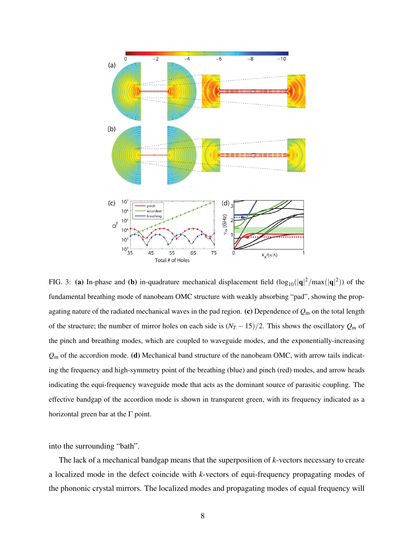

<span id="page-7-0"></span>FIG. 3: (a) In-phase and (b) in-quadrature mechanical displacement field  $(\log_{10}(|q|^2 / max(|q|^2))$  of the fundamental breathing mode of nanobeam OMC structure with weakly absorbing "pad", showing the propagating nature of the radiated mechanical waves in the pad region. (c) Dependence of *Q*<sup>m</sup> on the total length of the structure; the number of mirror holes on each side is  $(N_T - 15)/2$ . This shows the oscillatory  $Q_m$  of the pinch and breathing modes, which are coupled to waveguide modes, and the exponentially-increasing *Q*<sup>m</sup> of the accordion mode. (d) Mechanical band structure of the nanobeam OMC, with arrow tails indicating the frequency and high-symmetry point of the breathing (blue) and pinch (red) modes, and arrow heads indicating the equi-frequency waveguide mode that acts as the dominant source of parasitic coupling. The effective bandgap of the accordion mode is shown in transparent green, with its frequency indicated as a horizontal green bar at the  $\Gamma$  point.

into the surrounding "bath".

The lack of a mechanical bandgap means that the superposition of *k*-vectors necessary to create a localized mode in the defect coincide with *k*-vectors of equi-frequency propagating modes of the phononic crystal mirrors. The localized modes and propagating modes of equal frequency will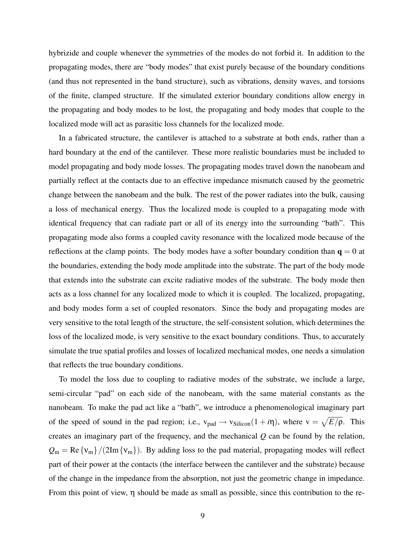hybrizide and couple whenever the symmetries of the modes do not forbid it. In addition to the propagating modes, there are "body modes" that exist purely because of the boundary conditions (and thus not represented in the band structure), such as vibrations, density waves, and torsions of the finite, clamped structure. If the simulated exterior boundary conditions allow energy in the propagating and body modes to be lost, the propagating and body modes that couple to the localized mode will act as parasitic loss channels for the localized mode.

In a fabricated structure, the cantilever is attached to a substrate at both ends, rather than a hard boundary at the end of the cantilever. These more realistic boundaries must be included to model propagating and body mode losses. The propagating modes travel down the nanobeam and partially reflect at the contacts due to an effective impedance mismatch caused by the geometric change between the nanobeam and the bulk. The rest of the power radiates into the bulk, causing a loss of mechanical energy. Thus the localized mode is coupled to a propagating mode with identical frequency that can radiate part or all of its energy into the surrounding "bath". This propagating mode also forms a coupled cavity resonance with the localized mode because of the reflections at the clamp points. The body modes have a softer boundary condition than  $q = 0$  at the boundaries, extending the body mode amplitude into the substrate. The part of the body mode that extends into the substrate can excite radiative modes of the substrate. The body mode then acts as a loss channel for any localized mode to which it is coupled. The localized, propagating, and body modes form a set of coupled resonators. Since the body and propagating modes are very sensitive to the total length of the structure, the self-consistent solution, which determines the loss of the localized mode, is very sensitive to the exact boundary conditions. Thus, to accurately simulate the true spatial profiles and losses of localized mechanical modes, one needs a simulation that reflects the true boundary conditions.

To model the loss due to coupling to radiative modes of the substrate, we include a large, semi-circular "pad" on each side of the nanobeam, with the same material constants as the nanobeam. To make the pad act like a "bath", we introduce a phenomenological imaginary part of the speed of sound in the pad region; i.e.,  $v_{pad} \rightarrow v_{Silicon}(1 + i\eta)$ , where  $v = \sqrt{E/\rho}$ . This creates an imaginary part of the frequency, and the mechanical *Q* can be found by the relation,  $Q_m = \text{Re}\{v_m\}/(2\text{Im}\{v_m\})$ . By adding loss to the pad material, propagating modes will reflect part of their power at the contacts (the interface between the cantilever and the substrate) because of the change in the impedance from the absorption, not just the geometric change in impedance. From this point of view, η should be made as small as possible, since this contribution to the re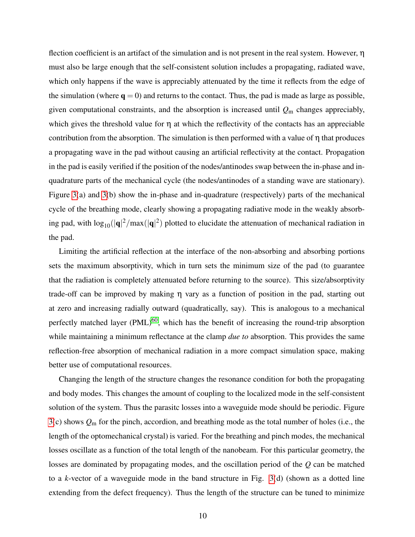flection coefficient is an artifact of the simulation and is not present in the real system. However, η must also be large enough that the self-consistent solution includes a propagating, radiated wave, which only happens if the wave is appreciably attenuated by the time it reflects from the edge of the simulation (where  $q = 0$ ) and returns to the contact. Thus, the pad is made as large as possible, given computational constraints, and the absorption is increased until *Q*<sup>m</sup> changes appreciably, which gives the threshold value for  $\eta$  at which the reflectivity of the contacts has an appreciable contribution from the absorption. The simulation is then performed with a value of  $\eta$  that produces a propagating wave in the pad without causing an artificial reflectivity at the contact. Propagation in the pad is easily verified if the position of the nodes/antinodes swap between the in-phase and inquadrature parts of the mechanical cycle (the nodes/antinodes of a standing wave are stationary). Figure [3\(](#page-7-0)a) and [3\(](#page-7-0)b) show the in-phase and in-quadrature (respectively) parts of the mechanical cycle of the breathing mode, clearly showing a propagating radiative mode in the weakly absorbing pad, with  $\log_{10}(|\mathbf{q}|^2/\max(|\mathbf{q}|^2)$  plotted to elucidate the attenuation of mechanical radiation in the pad.

Limiting the artificial reflection at the interface of the non-absorbing and absorbing portions sets the maximum absorptivity, which in turn sets the minimum size of the pad (to guarantee that the radiation is completely attenuated before returning to the source). This size/absorptivity trade-off can be improved by making η vary as a function of position in the pad, starting out at zero and increasing radially outward (quadratically, say). This is analogous to a mechanical perfectly matched layer  $(PML)^{60}$  $(PML)^{60}$  $(PML)^{60}$ , which has the benefit of increasing the round-trip absorption while maintaining a minimum reflectance at the clamp *due to* absorption. This provides the same reflection-free absorption of mechanical radiation in a more compact simulation space, making better use of computational resources.

Changing the length of the structure changes the resonance condition for both the propagating and body modes. This changes the amount of coupling to the localized mode in the self-consistent solution of the system. Thus the parasitc losses into a waveguide mode should be periodic. Figure [3\(](#page-7-0)c) shows *Q*<sup>m</sup> for the pinch, accordion, and breathing mode as the total number of holes (i.e., the length of the optomechanical crystal) is varied. For the breathing and pinch modes, the mechanical losses oscillate as a function of the total length of the nanobeam. For this particular geometry, the losses are dominated by propagating modes, and the oscillation period of the *Q* can be matched to a *k*-vector of a waveguide mode in the band structure in Fig. [3\(](#page-7-0)d) (shown as a dotted line extending from the defect frequency). Thus the length of the structure can be tuned to minimize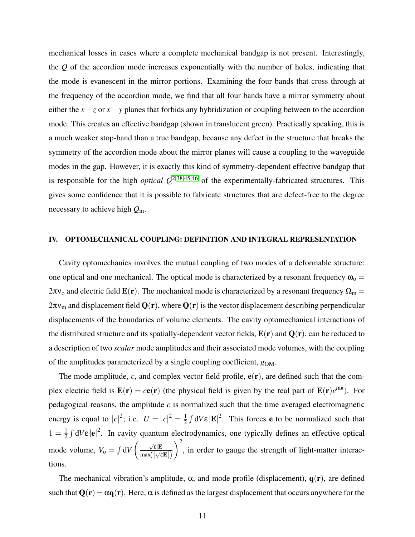mechanical losses in cases where a complete mechanical bandgap is not present. Interestingly, the *Q* of the accordion mode increases exponentially with the number of holes, indicating that the mode is evanescent in the mirror portions. Examining the four bands that cross through at the frequency of the accordion mode, we find that all four bands have a mirror symmetry about either the *x*−*z* or *x*−*y* planes that forbids any hybridization or coupling between to the accordion mode. This creates an effective bandgap (shown in translucent green). Practically speaking, this is a much weaker stop-band than a true bandgap, because any defect in the structure that breaks the symmetry of the accordion mode about the mirror planes will cause a coupling to the waveguide modes in the gap. However, it is exactly this kind of symmetry-dependent effective bandgap that is responsible for the high *optical*  $Q^{2,38,45,46}$  $Q^{2,38,45,46}$  $Q^{2,38,45,46}$  $Q^{2,38,45,46}$  $Q^{2,38,45,46}$  $Q^{2,38,45,46}$  of the experimentally-fabricated structures. This gives some confidence that it is possible to fabricate structures that are defect-free to the degree necessary to achieve high *Q*m.

#### IV. OPTOMECHANICAL COUPLING: DEFINITION AND INTEGRAL REPRESENTATION

Cavity optomechanics involves the mutual coupling of two modes of a deformable structure: one optical and one mechanical. The optical mode is characterized by a resonant frequency  $\omega_0 =$  $2\pi v_0$  and electric field  $\mathbf{E}(\mathbf{r})$ . The mechanical mode is characterized by a resonant frequency  $\Omega_m =$  $2\pi v_{\rm m}$  and displacement field  $Q(\bf{r})$ , where  $Q(\bf{r})$  is the vector displacement describing perpendicular displacements of the boundaries of volume elements. The cavity optomechanical interactions of the distributed structure and its spatially-dependent vector fields,  $E(\bf{r})$  and  $Q(\bf{r})$ , can be reduced to a description of two *scalar* mode amplitudes and their associated mode volumes, with the coupling of the amplitudes parameterized by a single coupling coefficient, *g*OM.

The mode amplitude,  $c$ , and complex vector field profile,  $e(\mathbf{r})$ , are defined such that the complex electric field is  $\mathbf{E}(\mathbf{r}) = c\mathbf{e}(\mathbf{r})$  (the physical field is given by the real part of  $\mathbf{E}(\mathbf{r})e^{i\omega t}$ ). For pedagogical reasons, the amplitude *c* is normalized such that the time averaged electromagnetic energy is equal to  $|c|^2$ ; i.e.  $U = |c|^2 = \frac{1}{2}$  $\frac{1}{2} \int dV \varepsilon |\mathbf{E}|^2$ . This forces **e** to be normalized such that  $1 = \frac{1}{2}$  $\frac{1}{2} \int dV \varepsilon |\mathbf{e}|^2$ . In cavity quantum electrodynamics, one typically defines an effective optical mode volume,  $V_0 = \int dV$  <sup>√</sup> ε|E|  $\frac{\sqrt{c|E|}}{\max(|\sqrt{\epsilon}E|)}$  $\setminus^2$ , in order to gauge the strength of light-matter interactions.

The mechanical vibration's amplitude,  $\alpha$ , and mode profile (displacement),  $q(\mathbf{r})$ , are defined such that  $Q(r) = \alpha q(r)$ . Here,  $\alpha$  is defined as the largest displacement that occurs anywhere for the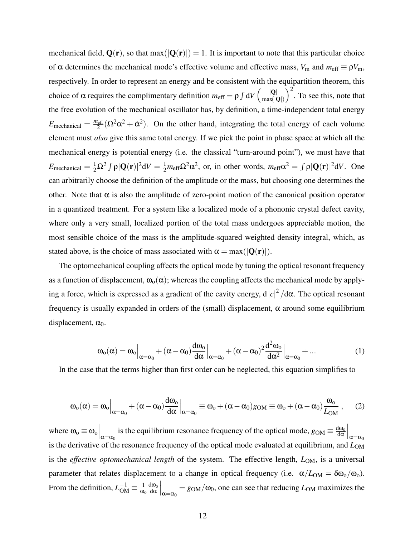mechanical field,  $Q(\mathbf{r})$ , so that max( $|Q(\mathbf{r})|$ ) = 1. It is important to note that this particular choice of  $\alpha$  determines the mechanical mode's effective volume and effective mass,  $V_m$  and  $m_{\text{eff}} \equiv \rho V_m$ , respectively. In order to represent an energy and be consistent with the equipartition theorem, this choice of  $\alpha$  requires the complimentary definition  $m_{\text{eff}} = \rho \int dV \left( \frac{|Q|}{|Q|} \right)$  $max(|\mathbf{Q}|)$  $\int_{0}^{2}$ . To see this, note that the free evolution of the mechanical oscillator has, by definition, a time-independent total energy  $E_{\text{mechanical}} = \frac{m_{\text{eff}}}{2}$  $\frac{2}{2}$ <sup>2</sup> $(\Omega^2 \alpha^2 + \dot{\alpha}^2)$ . On the other hand, integrating the total energy of each volume element must *also* give this same total energy. If we pick the point in phase space at which all the mechanical energy is potential energy (i.e. the classical "turn-around point"), we must have that  $E_{\text{mechanical}} = \frac{1}{2} \Omega^2 \int \rho |\mathbf{Q}(\mathbf{r})|^2 dV = \frac{1}{2} m_{\text{eff}} \Omega^2 \alpha^2$ , or, in other words,  $m_{\text{eff}} \alpha^2 = \int \rho |\mathbf{Q}(\mathbf{r})|^2 dV$ . One can arbitrarily choose the definition of the amplitude or the mass, but choosing one determines the other. Note that  $\alpha$  is also the amplitude of zero-point motion of the canonical position operator in a quantized treatment. For a system like a localized mode of a phononic crystal defect cavity, where only a very small, localized portion of the total mass undergoes appreciable motion, the most sensible choice of the mass is the amplitude-squared weighted density integral, which, as stated above, is the choice of mass associated with  $\alpha = \max(|\mathbf{Q}(\mathbf{r})|)$ .

The optomechanical coupling affects the optical mode by tuning the optical resonant frequency as a function of displacement,  $\omega_0(\alpha)$ ; whereas the coupling affects the mechanical mode by applying a force, which is expressed as a gradient of the cavity energy,  $d|c|^2/dα$ . The optical resonant frequency is usually expanded in orders of the (small) displacement,  $\alpha$  around some equilibrium displacement,  $\alpha_0$ .

$$
\omega_{o}(\alpha) = \omega_{o} \Big|_{\alpha = \alpha_{0}} + (\alpha - \alpha_{0}) \frac{d\omega_{o}}{d\alpha} \Big|_{\alpha = \alpha_{0}} + (\alpha - \alpha_{0})^{2} \frac{d^{2}\omega_{o}}{d\alpha^{2}} \Big|_{\alpha = \alpha_{0}} + \dots \tag{1}
$$

In the case that the terms higher than first order can be neglected, this equation simplifies to

$$
\omega_o(\alpha)=\omega_o\Big|_{\alpha=\alpha_0}+(\alpha-\alpha_0)\frac{d\omega_o}{d\alpha}\Big|_{\alpha=\alpha_0}\equiv\omega_o+(\alpha-\alpha_0)g_{\rm OM}\equiv\omega_o+(\alpha-\alpha_0)\frac{\omega_o}{L_{\rm OM}}\ ,\eqno(2)
$$

where  $\omega_0 \equiv \omega_0 \Big|_{\alpha = \alpha_0}$  is the equilibrium resonance frequency of the optical mode,  $g_{OM} \equiv \frac{d\omega_0}{d\alpha}$ dα  $\Big|_{\alpha=\alpha_0}$ is the derivative of the resonance frequency of the optical mode evaluated at equilibrium, and  $L_{OM}$ is the *effective optomechanical length* of the system. The effective length,  $L_{OM}$ , is a universal parameter that relates displacement to a change in optical frequency (i.e.  $\alpha/L_{OM} = \delta \omega_0/\omega_0$ ). From the definition,  $L_{OM}^{-1} \equiv \frac{1}{\omega_0}$  $\omega_{\rm o}$ <u>dω</u> dα  $\Big|_{\alpha=\alpha_0} = g_{OM}/\omega_0$ , one can see that reducing  $L_{OM}$  maximizes the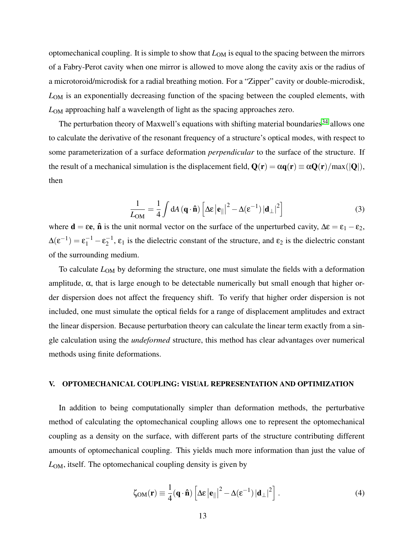optomechanical coupling. It is simple to show that *L*OM is equal to the spacing between the mirrors of a Fabry-Perot cavity when one mirror is allowed to move along the cavity axis or the radius of a microtoroid/microdisk for a radial breathing motion. For a "Zipper" cavity or double-microdisk, *L*OM is an exponentially decreasing function of the spacing between the coupled elements, with *L*OM approaching half a wavelength of light as the spacing approaches zero.

The perturbation theory of Maxwell's equations with shifting material boundaries<sup>[34](#page-22-15)</sup> allows one to calculate the derivative of the resonant frequency of a structure's optical modes, with respect to some parameterization of a surface deformation *perpendicular* to the surface of the structure. If the result of a mechanical simulation is the displacement field,  $Q(\mathbf{r}) = \alpha q(\mathbf{r}) \equiv \alpha Q(\mathbf{r})/max(|Q|)$ , then

<span id="page-12-0"></span>
$$
\frac{1}{L_{OM}} = \frac{1}{4} \int dA \left( \mathbf{q} \cdot \hat{\mathbf{n}} \right) \left[ \Delta \varepsilon \left| \mathbf{e}_{\parallel} \right|^{2} - \Delta (\varepsilon^{-1}) \left| \mathbf{d}_{\perp} \right|^{2} \right] \tag{3}
$$

where  $\mathbf{d} = \varepsilon \mathbf{e}$ ,  $\mathbf{\hat{n}}$  is the unit normal vector on the surface of the unperturbed cavity,  $\Delta \varepsilon = \varepsilon_1 - \varepsilon_2$ ,  $\Delta(\epsilon^{-1}) = \epsilon_1^{-1} - \epsilon_2^{-1}$  $\epsilon_2^{-1}$ ,  $\epsilon_1$  is the dielectric constant of the structure, and  $\epsilon_2$  is the dielectric constant of the surrounding medium.

To calculate  $L_{OM}$  by deforming the structure, one must simulate the fields with a deformation amplitude,  $\alpha$ , that is large enough to be detectable numerically but small enough that higher order dispersion does not affect the frequency shift. To verify that higher order dispersion is not included, one must simulate the optical fields for a range of displacement amplitudes and extract the linear dispersion. Because perturbation theory can calculate the linear term exactly from a single calculation using the *undeformed* structure, this method has clear advantages over numerical methods using finite deformations.

### V. OPTOMECHANICAL COUPLING: VISUAL REPRESENTATION AND OPTIMIZATION

In addition to being computationally simpler than deformation methods, the perturbative method of calculating the optomechanical coupling allows one to represent the optomechanical coupling as a density on the surface, with different parts of the structure contributing different amounts of optomechanical coupling. This yields much more information than just the value of *L*OM, itself. The optomechanical coupling density is given by

$$
\zeta_{OM}(\mathbf{r}) \equiv \frac{1}{4}(\mathbf{q} \cdot \hat{\mathbf{n}}) \left[ \Delta \varepsilon \left| \mathbf{e}_{\parallel} \right|^{2} - \Delta (\varepsilon^{-1}) \left| \mathbf{d}_{\perp} \right|^{2} \right]. \tag{4}
$$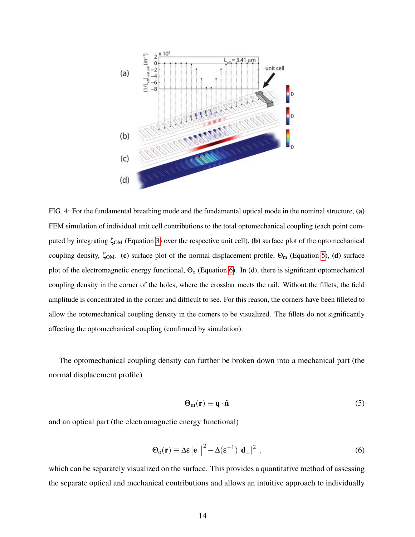

<span id="page-13-2"></span>FIG. 4: For the fundamental breathing mode and the fundamental optical mode in the nominal structure, (a) FEM simulation of individual unit cell contributions to the total optomechanical coupling (each point computed by integrating  $\zeta_{OM}$  (Equation [3\)](#page-12-0) over the respective unit cell), (b) surface plot of the optomechanical coupling density,  $\zeta_{OM}$ . (c) surface plot of the normal displacement profile,  $\Theta_m$  (Equation [5\)](#page-13-0), (d) surface plot of the electromagnetic energy functional,  $\Theta_0$  (Equation [6\)](#page-13-1). In (d), there is significant optomechanical coupling density in the corner of the holes, where the crossbar meets the rail. Without the fillets, the field amplitude is concentrated in the corner and difficult to see. For this reason, the corners have been filleted to allow the optomechanical coupling density in the corners to be visualized. The fillets do not significantly affecting the optomechanical coupling (confirmed by simulation).

The optomechanical coupling density can further be broken down into a mechanical part (the normal displacement profile)

<span id="page-13-0"></span>
$$
\Theta_{m}(\mathbf{r}) \equiv \mathbf{q} \cdot \hat{\mathbf{n}} \tag{5}
$$

and an optical part (the electromagnetic energy functional)

<span id="page-13-1"></span>
$$
\Theta_{o}(\mathbf{r}) \equiv \Delta \varepsilon \left| \mathbf{e}_{\parallel} \right|^{2} - \Delta (\varepsilon^{-1}) \left| \mathbf{d}_{\perp} \right|^{2}, \qquad (6)
$$

which can be separately visualized on the surface. This provides a quantitative method of assessing the separate optical and mechanical contributions and allows an intuitive approach to individually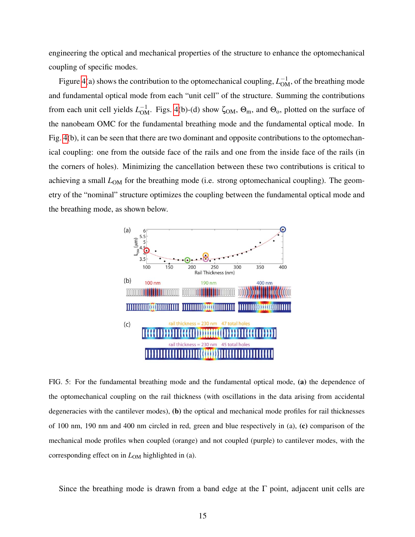engineering the optical and mechanical properties of the structure to enhance the optomechanical coupling of specific modes.

Figure [4\(](#page-13-2)a) shows the contribution to the optomechanical coupling,  $L_{OM}^{-1}$ , of the breathing mode and fundamental optical mode from each "unit cell" of the structure. Summing the contributions from each unit cell yields  $L_{OM}^{-1}$ . Figs. [4\(](#page-13-2)b)-(d) show  $\zeta_{OM}$ ,  $\Theta_m$ , and  $\Theta_o$ , plotted on the surface of the nanobeam OMC for the fundamental breathing mode and the fundamental optical mode. In Fig. [4\(](#page-13-2)b), it can be seen that there are two dominant and opposite contributions to the optomechanical coupling: one from the outside face of the rails and one from the inside face of the rails (in the corners of holes). Minimizing the cancellation between these two contributions is critical to achieving a small  $L_{OM}$  for the breathing mode (i.e. strong optomechanical coupling). The geometry of the "nominal" structure optimizes the coupling between the fundamental optical mode and the breathing mode, as shown below.



<span id="page-14-0"></span>FIG. 5: For the fundamental breathing mode and the fundamental optical mode, (a) the dependence of the optomechanical coupling on the rail thickness (with oscillations in the data arising from accidental degeneracies with the cantilever modes), (b) the optical and mechanical mode profiles for rail thicknesses of 100 nm, 190 nm and 400 nm circled in red, green and blue respectively in (a), (c) comparison of the mechanical mode profiles when coupled (orange) and not coupled (purple) to cantilever modes, with the corresponding effect on in  $L_{OM}$  highlighted in (a).

Since the breathing mode is drawn from a band edge at the  $\Gamma$  point, adjacent unit cells are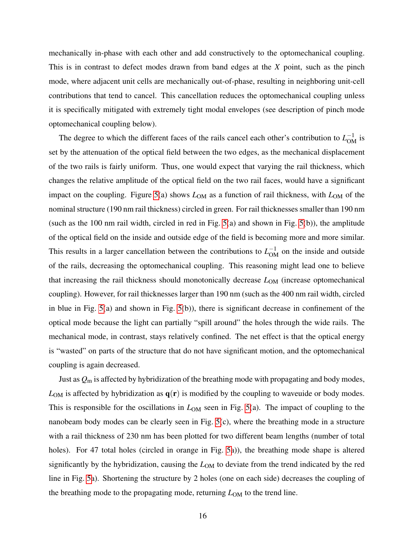mechanically in-phase with each other and add constructively to the optomechanical coupling. This is in contrast to defect modes drawn from band edges at the *X* point, such as the pinch mode, where adjacent unit cells are mechanically out-of-phase, resulting in neighboring unit-cell contributions that tend to cancel. This cancellation reduces the optomechanical coupling unless it is specifically mitigated with extremely tight modal envelopes (see description of pinch mode optomechanical coupling below).

The degree to which the different faces of the rails cancel each other's contribution to  $L_{OM}^{-1}$  is set by the attenuation of the optical field between the two edges, as the mechanical displacement of the two rails is fairly uniform. Thus, one would expect that varying the rail thickness, which changes the relative amplitude of the optical field on the two rail faces, would have a significant impact on the coupling. Figure [5\(](#page-14-0)a) shows  $L_{OM}$  as a function of rail thickness, with  $L_{OM}$  of the nominal structure (190 nm rail thickness) circled in green. For rail thicknesses smaller than 190 nm (such as the 100 nm rail width, circled in red in Fig. [5\(](#page-14-0)a) and shown in Fig. [5\(](#page-14-0)b)), the amplitude of the optical field on the inside and outside edge of the field is becoming more and more similar. This results in a larger cancellation between the contributions to  $L_{OM}^{-1}$  on the inside and outside of the rails, decreasing the optomechanical coupling. This reasoning might lead one to believe that increasing the rail thickness should monotonically decrease *L*OM (increase optomechanical coupling). However, for rail thicknesses larger than 190 nm (such as the 400 nm rail width, circled in blue in Fig. [5\(](#page-14-0)a) and shown in Fig. [5\(](#page-14-0)b)), there is significant decrease in confinement of the optical mode because the light can partially "spill around" the holes through the wide rails. The mechanical mode, in contrast, stays relatively confined. The net effect is that the optical energy is "wasted" on parts of the structure that do not have significant motion, and the optomechanical coupling is again decreased.

Just as *Q*<sup>m</sup> is affected by hybridization of the breathing mode with propagating and body modes,  $L_{OM}$  is affected by hybridization as  $q(r)$  is modified by the coupling to waveuide or body modes. This is responsible for the oscillations in  $L_{OM}$  seen in Fig. [5\(](#page-14-0)a). The impact of coupling to the nanobeam body modes can be clearly seen in Fig. [5\(](#page-14-0)c), where the breathing mode in a structure with a rail thickness of 230 nm has been plotted for two different beam lengths (number of total holes). For 47 total holes (circled in orange in Fig. [5a](#page-14-0))), the breathing mode shape is altered significantly by the hybridization, causing the  $L_{OM}$  to deviate from the trend indicated by the red line in Fig. [5a](#page-14-0)). Shortening the structure by 2 holes (one on each side) decreases the coupling of the breathing mode to the propagating mode, returning  $L_{OM}$  to the trend line.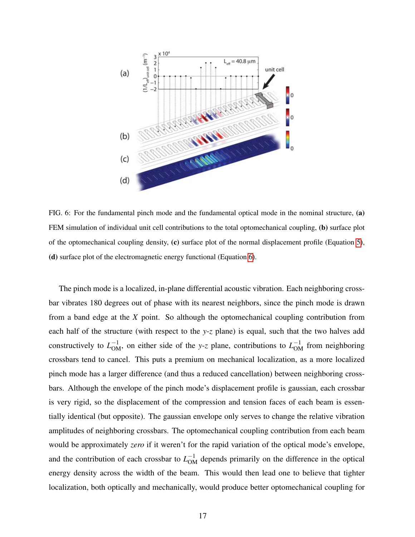

FIG. 6: For the fundamental pinch mode and the fundamental optical mode in the nominal structure, (a) FEM simulation of individual unit cell contributions to the total optomechanical coupling, (b) surface plot of the optomechanical coupling density, (c) surface plot of the normal displacement profile (Equation [5\)](#page-13-0), (d) surface plot of the electromagnetic energy functional (Equation [6\)](#page-13-1).

The pinch mode is a localized, in-plane differential acoustic vibration. Each neighboring crossbar vibrates 180 degrees out of phase with its nearest neighbors, since the pinch mode is drawn from a band edge at the *X* point. So although the optomechanical coupling contribution from each half of the structure (with respect to the *y*-*z* plane) is equal, such that the two halves add constructively to  $L_{OM}^{-1}$ , on either side of the *y*-*z* plane, contributions to  $L_{OM}^{-1}$  from neighboring crossbars tend to cancel. This puts a premium on mechanical localization, as a more localized pinch mode has a larger difference (and thus a reduced cancellation) between neighboring crossbars. Although the envelope of the pinch mode's displacement profile is gaussian, each crossbar is very rigid, so the displacement of the compression and tension faces of each beam is essentially identical (but opposite). The gaussian envelope only serves to change the relative vibration amplitudes of neighboring crossbars. The optomechanical coupling contribution from each beam would be approximately *zero* if it weren't for the rapid variation of the optical mode's envelope, and the contribution of each crossbar to  $L_{OM}^{-1}$  depends primarily on the difference in the optical energy density across the width of the beam. This would then lead one to believe that tighter localization, both optically and mechanically, would produce better optomechanical coupling for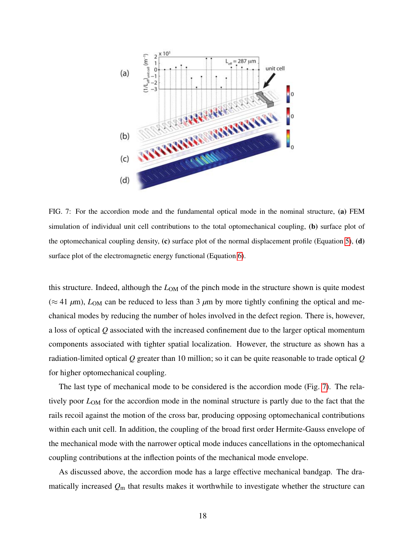

<span id="page-17-0"></span>FIG. 7: For the accordion mode and the fundamental optical mode in the nominal structure, (a) FEM simulation of individual unit cell contributions to the total optomechanical coupling, (b) surface plot of the optomechanical coupling density,  $(c)$  surface plot of the normal displacement profile (Equation [5\)](#page-13-0),  $(d)$ surface plot of the electromagnetic energy functional (Equation [6\)](#page-13-1).

this structure. Indeed, although the *L*<sub>OM</sub> of the pinch mode in the structure shown is quite modest  $(\approx 41 \mu m)$ ,  $L_{OM}$  can be reduced to less than 3  $\mu$ m by more tightly confining the optical and mechanical modes by reducing the number of holes involved in the defect region. There is, however, a loss of optical *Q* associated with the increased confinement due to the larger optical momentum components associated with tighter spatial localization. However, the structure as shown has a radiation-limited optical *Q* greater than 10 million; so it can be quite reasonable to trade optical *Q* for higher optomechanical coupling.

The last type of mechanical mode to be considered is the accordion mode (Fig. [7\)](#page-17-0). The relatively poor *L*OM for the accordion mode in the nominal structure is partly due to the fact that the rails recoil against the motion of the cross bar, producing opposing optomechanical contributions within each unit cell. In addition, the coupling of the broad first order Hermite-Gauss envelope of the mechanical mode with the narrower optical mode induces cancellations in the optomechanical coupling contributions at the inflection points of the mechanical mode envelope.

As discussed above, the accordion mode has a large effective mechanical bandgap. The dramatically increased *Q*<sup>m</sup> that results makes it worthwhile to investigate whether the structure can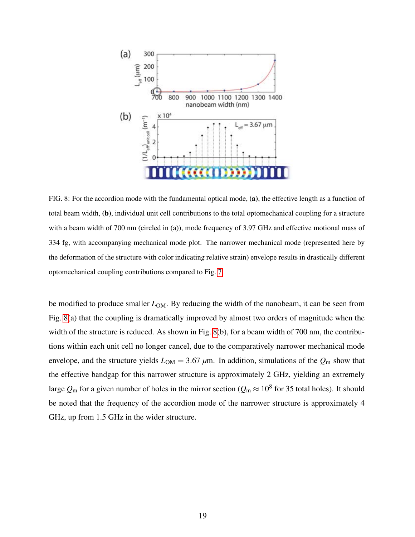

<span id="page-18-0"></span>FIG. 8: For the accordion mode with the fundamental optical mode, (a), the effective length as a function of total beam width, (b), individual unit cell contributions to the total optomechanical coupling for a structure with a beam width of 700 nm (circled in (a)), mode frequency of 3.97 GHz and effective motional mass of 334 fg, with accompanying mechanical mode plot. The narrower mechanical mode (represented here by the deformation of the structure with color indicating relative strain) envelope results in drastically different optomechanical coupling contributions compared to Fig. [7.](#page-17-0)

be modified to produce smaller  $L_{OM}$ . By reducing the width of the nanobeam, it can be seen from Fig. [8\(](#page-18-0)a) that the coupling is dramatically improved by almost two orders of magnitude when the width of the structure is reduced. As shown in Fig. [8\(](#page-18-0)b), for a beam width of 700 nm, the contributions within each unit cell no longer cancel, due to the comparatively narrower mechanical mode envelope, and the structure yields  $L_{OM} = 3.67 \mu m$ . In addition, simulations of the  $Q_m$  show that the effective bandgap for this narrower structure is approximately 2 GHz, yielding an extremely large  $Q_{\rm m}$  for a given number of holes in the mirror section ( $Q_{\rm m}\approx 10^8$  for 35 total holes). It should be noted that the frequency of the accordion mode of the narrower structure is approximately 4 GHz, up from 1.5 GHz in the wider structure.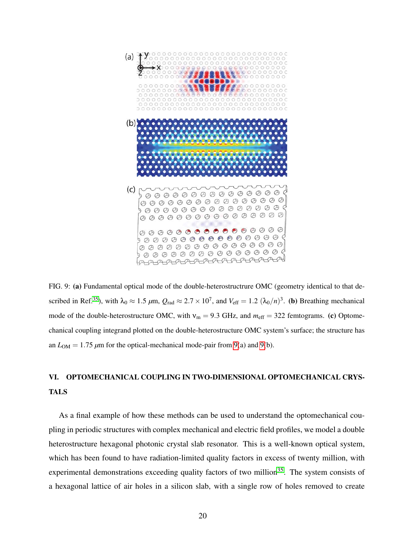

<span id="page-19-0"></span>FIG. 9: (a) Fundamental optical mode of the double-heterostructrure OMC (geometry identical to that de-scribed in Ref.<sup>[35](#page-22-16)</sup>), with  $\lambda_0 \approx 1.5 \ \mu \text{m}$ ,  $Q_{\text{rad}} \approx 2.7 \times 10^7$ , and  $V_{\text{eff}} = 1.2 \ (\lambda_0/n)^3$ . (b) Breathing mechanical mode of the double-heterostructure OMC, with  $v_m = 9.3$  GHz, and  $m_{\text{eff}} = 322$  femtograms. (c) Optomechanical coupling integrand plotted on the double-heterostructure OMC system's surface; the structure has an  $L_{OM} = 1.75 \mu m$  for the optical-mechanical mode-pair from [9\(](#page-19-0)a) and 9(b).

# VI. OPTOMECHANICAL COUPLING IN TWO-DIMENSIONAL OPTOMECHANICAL CRYS-TALS

As a final example of how these methods can be used to understand the optomechanical coupling in periodic structures with complex mechanical and electric field profiles, we model a double heterostructure hexagonal photonic crystal slab resonator. This is a well-known optical system, which has been found to have radiation-limited quality factors in excess of twenty million, with experimental demonstrations exceeding quality factors of two million<sup>[35](#page-22-16)</sup>. The system consists of a hexagonal lattice of air holes in a silicon slab, with a single row of holes removed to create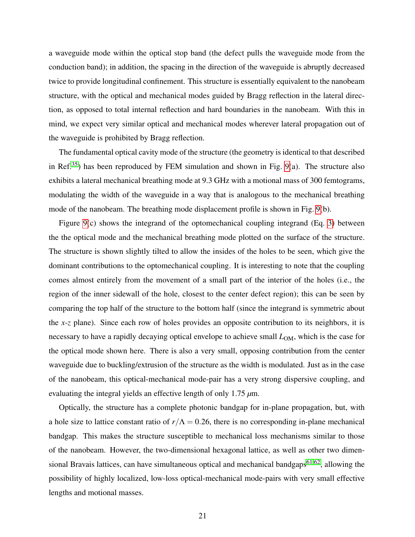a waveguide mode within the optical stop band (the defect pulls the waveguide mode from the conduction band); in addition, the spacing in the direction of the waveguide is abruptly decreased twice to provide longitudinal confinement. This structure is essentially equivalent to the nanobeam structure, with the optical and mechanical modes guided by Bragg reflection in the lateral direction, as opposed to total internal reflection and hard boundaries in the nanobeam. With this in mind, we expect very similar optical and mechanical modes wherever lateral propagation out of the waveguide is prohibited by Bragg reflection.

The fundamental optical cavity mode of the structure (the geometry is identical to that described in Ref.<sup>[35](#page-22-16)</sup>) has been reproduced by FEM simulation and shown in Fig. [9\(](#page-19-0)a). The structure also exhibits a lateral mechanical breathing mode at 9.3 GHz with a motional mass of 300 femtograms, modulating the width of the waveguide in a way that is analogous to the mechanical breathing mode of the nanobeam. The breathing mode displacement profile is shown in Fig. [9\(](#page-19-0)b).

Figure [9\(](#page-19-0)c) shows the integrand of the optomechanical coupling integrand (Eq. [3\)](#page-12-0) between the the optical mode and the mechanical breathing mode plotted on the surface of the structure. The structure is shown slightly tilted to allow the insides of the holes to be seen, which give the dominant contributions to the optomechanical coupling. It is interesting to note that the coupling comes almost entirely from the movement of a small part of the interior of the holes (i.e., the region of the inner sidewall of the hole, closest to the center defect region); this can be seen by comparing the top half of the structure to the bottom half (since the integrand is symmetric about the *x*-*z* plane). Since each row of holes provides an opposite contribution to its neighbors, it is necessary to have a rapidly decaying optical envelope to achieve small  $L_{OM}$ , which is the case for the optical mode shown here. There is also a very small, opposing contribution from the center waveguide due to buckling/extrusion of the structure as the width is modulated. Just as in the case of the nanobeam, this optical-mechanical mode-pair has a very strong dispersive coupling, and evaluating the integral yields an effective length of only 1.75 *µ*m.

Optically, the structure has a complete photonic bandgap for in-plane propagation, but, with a hole size to lattice constant ratio of  $r/\Lambda = 0.26$ , there is no corresponding in-plane mechanical bandgap. This makes the structure susceptible to mechanical loss mechanisms similar to those of the nanobeam. However, the two-dimensional hexagonal lattice, as well as other two dimensional Bravais lattices, can have simultaneous optical and mechanical bandgaps $61,62$  $61,62$ , allowing the possibility of highly localized, low-loss optical-mechanical mode-pairs with very small effective lengths and motional masses.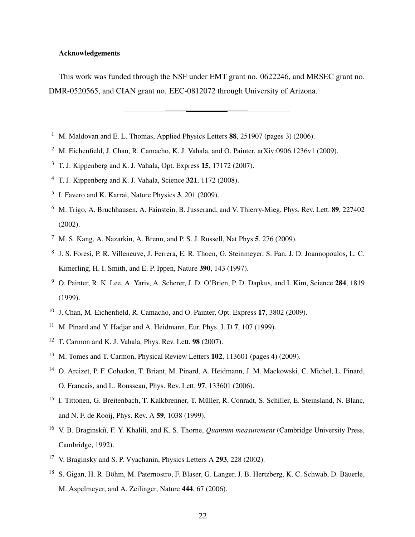# Acknowledgements

This work was funded through the NSF under EMT grant no. 0622246, and MRSEC grant no. DMR-0520565, and CIAN grant no. EEC-0812072 through University of Arizona.

- <span id="page-21-0"></span><sup>1</sup> M. Maldovan and E. L. Thomas, Applied Physics Letters  $88$ , 251907 (pages 3) (2006).
- <span id="page-21-2"></span><span id="page-21-1"></span><sup>2</sup> M. Eichenfield, J. Chan, R. Camacho, K. J. Vahala, and O. Painter, arXiv:0906.1236v1 (2009).
- $3$  T. J. Kippenberg and K. J. Vahala, Opt. Express 15, 17172 (2007).
- <span id="page-21-4"></span><span id="page-21-3"></span><sup>4</sup> T. J. Kippenberg and K. J. Vahala, Science 321, 1172 (2008).
- <span id="page-21-5"></span>5 I. Favero and K. Karrai, Nature Physics 3, 201 (2009).
- <sup>6</sup> M. Trigo, A. Bruchhausen, A. Fainstein, B. Jusserand, and V. Thierry-Mieg, Phys. Rev. Lett. 89, 227402 (2002).
- <span id="page-21-7"></span><span id="page-21-6"></span> $^7$  M. S. Kang, A. Nazarkin, A. Brenn, and P. S. J. Russell, Nat Phys 5, 276 (2009).
- 8 J. S. Foresi, P. R. Villeneuve, J. Ferrera, E. R. Thoen, G. Steinmeyer, S. Fan, J. D. Joannopoulos, L. C. Kimerling, H. I. Smith, and E. P. Ippen, Nature 390, 143 (1997).
- <span id="page-21-8"></span><sup>9</sup> O. Painter, R. K. Lee, A. Yariv, A. Scherer, J. D. O'Brien, P. D. Dapkus, and I. Kim, Science 284, 1819 (1999).
- <span id="page-21-9"></span><sup>10</sup> J. Chan, M. Eichenfield, R. Camacho, and O. Painter, Opt. Express 17, 3802 (2009).
- <span id="page-21-10"></span><sup>11</sup> M. Pinard and Y. Hadjar and A. Heidmann, Eur. Phys. J. D 7, 107 (1999).
- <span id="page-21-11"></span><sup>12</sup> T. Carmon and K. J. Vahala, Phys. Rev. Lett. 98 (2007).
- <span id="page-21-12"></span><sup>13</sup> M. Tomes and T. Carmon, Physical Review Letters **102**, 113601 (pages 4) (2009).
- <span id="page-21-13"></span><sup>14</sup> O. Arcizet, P. F. Cohadon, T. Briant, M. Pinard, A. Heidmann, J. M. Mackowski, C. Michel, L. Pinard, O. Francais, and L. Rousseau, Phys. Rev. Lett. 97, 133601 (2006).
- <span id="page-21-14"></span><sup>15</sup> I. Tittonen, G. Breitenbach, T. Kalkbrenner, T. Müller, R. Conradt, S. Schiller, E. Steinsland, N. Blanc, and N. F. de Rooij, Phys. Rev. A 59, 1038 (1999).
- <span id="page-21-15"></span><sup>16</sup> V. B. Braginski˘ı, F. Y. Khalili, and K. S. Thorne, *Quantum measurement* (Cambridge University Press, Cambridge, 1992).
- <span id="page-21-16"></span><sup>17</sup> V. Braginsky and S. P. Vyachanin, Physics Letters A 293, 228 (2002).
- <span id="page-21-17"></span><sup>18</sup> S. Gigan, H. R. Böhm, M. Paternostro, F. Blaser, G. Langer, J. B. Hertzberg, K. C. Schwab, D. Bäuerle, M. Aspelmeyer, and A. Zeilinger, Nature 444, 67 (2006).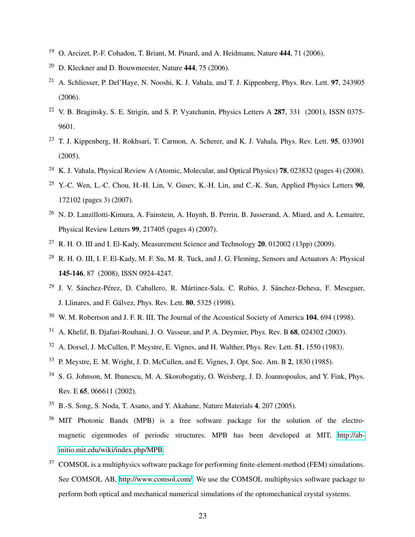- <span id="page-22-1"></span><span id="page-22-0"></span><sup>19</sup> O. Arcizet, P.-F. Cohadon, T. Briant, M. Pinard, and A. Heidmann, Nature 444, 71 (2006).
- <span id="page-22-2"></span> $20$  D. Kleckner and D. Bouwmeester, Nature 444, 75 (2006).
- <sup>21</sup> A. Schliesser, P. Del'Haye, N. Nooshi, K. J. Vahala, and T. J. Kippenberg, Phys. Rev. Lett. **97**, 243905 (2006).
- <span id="page-22-3"></span><sup>22</sup> V. B. Braginsky, S. E. Strigin, and S. P. Vyatchanin, Physics Letters A 287, 331 (2001), ISSN 0375-9601.
- <span id="page-22-4"></span><sup>23</sup> T. J. Kippenberg, H. Rokhsari, T. Carmon, A. Scherer, and K. J. Vahala, Phys. Rev. Lett. 95, 033901 (2005).
- <span id="page-22-6"></span><span id="page-22-5"></span><sup>24</sup> K. J. Vahala, Physical Review A (Atomic, Molecular, and Optical Physics) **78**, 023832 (pages 4) (2008).
- <sup>25</sup> Y.-C. Wen, L.-C. Chou, H.-H. Lin, V. Gusey, K.-H. Lin, and C.-K. Sun, Applied Physics Letters  $90$ , 172102 (pages 3) (2007).
- <span id="page-22-7"></span><sup>26</sup> N. D. Lanzillotti-Kimura, A. Fainstein, A. Huynh, B. Perrin, B. Jusserand, A. Miard, and A. Lemaitre, Physical Review Letters 99, 217405 (pages 4) (2007).
- <span id="page-22-8"></span><sup>27</sup> R. H. O. III and I. El-Kady, Measurement Science and Technology **20**, 012002 (13pp) (2009).
- <span id="page-22-9"></span><sup>28</sup> R. H. O. III, I. F. El-Kady, M. F. Su, M. R. Tuck, and J. G. Fleming, Sensors and Actuators A: Physical 145-146, 87 (2008), ISSN 0924-4247.
- <span id="page-22-10"></span><sup>29</sup> J. V. Sánchez-Pérez, D. Caballero, R. Mártinez-Sala, C. Rubio, J. Sánchez-Dehesa, F. Meseguer, J. Llinares, and F. Gálvez, Phys. Rev. Lett. **80**, 5325 (1998).
- <span id="page-22-11"></span><sup>30</sup> W. M. Robertson and J. F. R. III, The Journal of the Acoustical Society of America 104, 694 (1998).
- <span id="page-22-12"></span><sup>31</sup> A. Khelif, B. Djafari-Rouhani, J. O. Vasseur, and P. A. Deymier, Phys. Rev. B 68, 024302 (2003).
- <span id="page-22-14"></span><span id="page-22-13"></span><sup>32</sup> A. Dorsel, J. McCullen, P. Meystre, E. Vignes, and H. Walther, Phys. Rev. Lett. 51, 1550 (1983).
- <span id="page-22-15"></span><sup>33</sup> P. Meystre, E. M. Wright, J. D. McCullen, and E. Vignes, J. Opt. Soc. Am. B 2, 1830 (1985).
- <sup>34</sup> S. G. Johnson, M. Ibanescu, M. A. Skorobogatiy, O. Weisberg, J. D. Joannopoulos, and Y. Fink, Phys. Rev. E 65, 066611 (2002).
- <span id="page-22-17"></span><span id="page-22-16"></span><sup>35</sup> B.-S. Song, S. Noda, T. Asano, and Y. Akahane, Nature Materials 4, 207 (2005).
- MIT Photonic Bands (MPB) is a free software package for the solution of the electromagnetic eigenmodes of periodic structures. MPB has been developed at MIT, [http://ab](http://ab-initio.mit.edu/wiki/index.php/MPB)[initio.mit.edu/wiki/index.php/MPB.](http://ab-initio.mit.edu/wiki/index.php/MPB)
- <span id="page-22-18"></span><sup>37</sup> COMSOL is a multiphysics software package for performing finite-element-method (FEM) simulations. See COMSOL AB, [http://www.comsol.com/.](http://www.comsol.com/) We use the COMSOL multiphysics software package to perform both optical and mechanical numerical simulations of the optomechanical crystal systems.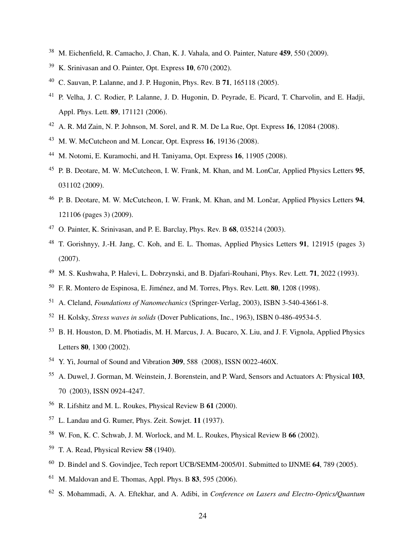- <span id="page-23-1"></span><span id="page-23-0"></span><sup>38</sup> M. Eichenfield, R. Camacho, J. Chan, K. J. Vahala, and O. Painter, Nature 459, 550 (2009).
- <span id="page-23-2"></span>K. Srinivasan and O. Painter, Opt. Express 10, 670 (2002).
- C. Sauvan, P. Lalanne, and J. P. Hugonin, Phys. Rev. B 71, 165118 (2005).
- <span id="page-23-3"></span> P. Velha, J. C. Rodier, P. Lalanne, J. D. Hugonin, D. Peyrade, E. Picard, T. Charvolin, and E. Hadji, Appl. Phys. Lett. 89, 171121 (2006).
- <span id="page-23-4"></span>A. R. Md Zain, N. P. Johnson, M. Sorel, and R. M. De La Rue, Opt. Express 16, 12084 (2008).
- <span id="page-23-5"></span>M. W. McCutcheon and M. Loncar, Opt. Express 16, 19136 (2008).
- <span id="page-23-6"></span><sup>44</sup> M. Notomi, E. Kuramochi, and H. Taniyama, Opt. Express **16**, 11905 (2008).
- <span id="page-23-7"></span> P. B. Deotare, M. W. McCutcheon, I. W. Frank, M. Khan, and M. LonCar, Applied Physics Letters 95, 031102 (2009).
- <span id="page-23-8"></span><sup>46</sup> P. B. Deotare, M. W. McCutcheon, I. W. Frank, M. Khan, and M. Lončar, Applied Physics Letters 94, 121106 (pages 3) (2009).
- <span id="page-23-9"></span><sup>47</sup> O. Painter, K. Srinivasan, and P. E. Barclay, Phys. Rev. B  $68$ , 035214 (2003).
- <span id="page-23-10"></span><sup>48</sup> T. Gorishnyy, J.-H. Jang, C. Koh, and E. L. Thomas, Applied Physics Letters **91**, 121915 (pages 3) (2007).
- <span id="page-23-11"></span>M. S. Kushwaha, P. Halevi, L. Dobrzynski, and B. Djafari-Rouhani, Phys. Rev. Lett. 71, 2022 (1993).
- <span id="page-23-12"></span>F. R. Montero de Espinosa, E. Jiménez, and M. Torres, Phys. Rev. Lett. **80**, 1208 (1998).
- <span id="page-23-13"></span>A. Cleland, *Foundations of Nanomechanics* (Springer-Verlag, 2003), ISBN 3-540-43661-8.
- <span id="page-23-14"></span>H. Kolsky, *Stress waves in solids* (Dover Publications, Inc., 1963), ISBN 0-486-49534-5.
- <span id="page-23-15"></span> B. H. Houston, D. M. Photiadis, M. H. Marcus, J. A. Bucaro, X. Liu, and J. F. Vignola, Applied Physics Letters 80, 1300 (2002).
- <span id="page-23-16"></span>Y. Yi, Journal of Sound and Vibration 309, 588 (2008), ISSN 0022-460X.
- <span id="page-23-17"></span> A. Duwel, J. Gorman, M. Weinstein, J. Borenstein, and P. Ward, Sensors and Actuators A: Physical 103, 70 (2003), ISSN 0924-4247.
- <span id="page-23-18"></span>R. Lifshitz and M. L. Roukes, Physical Review B 61 (2000).
- <span id="page-23-19"></span>L. Landau and G. Rumer, Phys. Zeit. Sowjet. 11 (1937).
- <span id="page-23-20"></span>W. Fon, K. C. Schwab, J. M. Worlock, and M. L. Roukes, Physical Review B 66 (2002).
- <span id="page-23-21"></span>T. A. Read, Physical Review 58 (1940).
- <span id="page-23-22"></span>D. Bindel and S. Govindjee, Tech report UCB/SEMM-2005/01. Submitted to IJNME 64, 789 (2005).
- <span id="page-23-23"></span>M. Maldovan and E. Thomas, Appl. Phys. B 83, 595 (2006).
- <span id="page-23-24"></span>S. Mohammadi, A. A. Eftekhar, and A. Adibi, in *Conference on Lasers and Electro-Optics/Quantum*